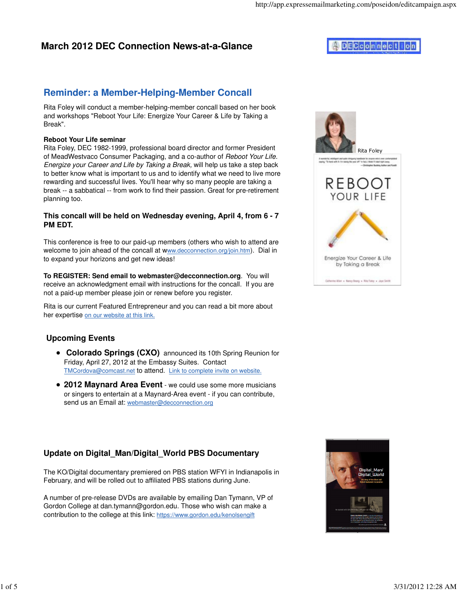## **March 2012 DEC Connection News-at-a-Glance**

# **DECconnection**

Rita Foley

entertal, intelligent and sede overagery handbeek for oryene in<br>ng. "To have with it if a samp the year off" in fact, i these t'A

**REBOOT** YOUR LIFE

Energize Your Career & Life by Taking a Break

Catterns Alien + Nancy Boary + Nite Fany + Jaya Secon

## **Reminder: a Member-Helping-Member Concall**

Rita Foley will conduct a member-helping-member concall based on her book and workshops "Reboot Your Life: Energize Your Career & Life by Taking a Break".

#### **Reboot Your Life seminar**

Rita Foley, DEC 1982-1999, professional board director and former President of MeadWestvaco Consumer Packaging, and a co-author of Reboot Your Life. Energize your Career and Life by Taking a Break, will help us take a step back to better know what is important to us and to identify what we need to live more rewarding and successful lives. You'll hear why so many people are taking a break -- a sabbatical -- from work to find their passion. Great for pre-retirement planning too.

#### **This concall will be held on Wednesday evening, April 4, from 6 - 7 PM EDT.**

This conference is free to our paid-up members (others who wish to attend are welcome to join ahead of the concall at www.decconnection.org/join.htm). Dial in to expand your horizons and get new ideas!

**To REGISTER: Send email to webmaster@decconnection.org**. You will receive an acknowledgment email with instructions for the concall. If you are not a paid-up member please join or renew before you register.

Rita is our current Featured Entrepreneur and you can read a bit more about her expertise on our website at this link.

### **Upcoming Events**

- **Colorado Springs (CXO)** announced its 10th Spring Reunion for Friday, April 27, 2012 at the Embassy Suites. Contact TMCordova@comcast.net to attend. Link to complete invite on website.
- **2012 Maynard Area Event** we could use some more musicians or singers to entertain at a Maynard-Area event - if you can contribute, send us an Email at: webmaster@decconnection.org

### **Update on Digital\_Man/Digital\_World PBS Documentary**

The KO/Digital documentary premiered on PBS station WFYI in Indianapolis in February, and will be rolled out to affiliated PBS stations during June.

A number of pre-release DVDs are available by emailing Dan Tymann, VP of Gordon College at dan.tymann@gordon.edu. Those who wish can make a contribution to the college at this link: https://www.gordon.edu/kenolsengift

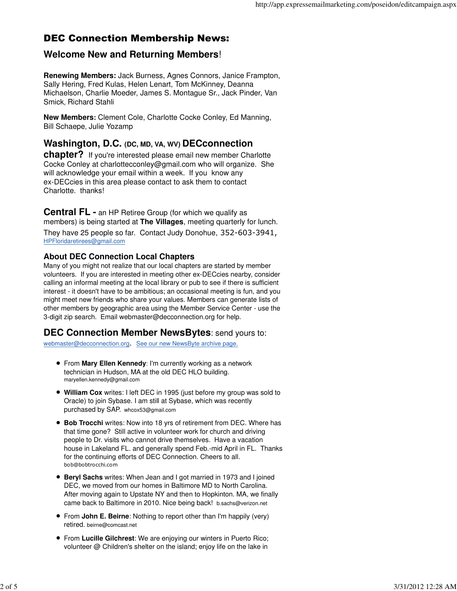# DEC Connection Membership News:

## **Welcome New and Returning Members**!

**Renewing Members:** Jack Burness, Agnes Connors, Janice Frampton, Sally Hering, Fred Kulas, Helen Lenart, Tom McKinney, Deanna Michaelson, Charlie Moeder, James S. Montague Sr., Jack Pinder, Van Smick, Richard Stahli

**New Members:** Clement Cole, Charlotte Cocke Conley, Ed Manning, Bill Schaepe, Julie Yozamp

**Washington, D.C. (DC, MD, VA, WV) DECconnection**

**chapter?** If you're interested please email new member Charlotte Cocke Conley at charlottecconley@gmail.com who will organize. She will acknowledge your email within a week. If you know any ex-DECcies in this area please contact to ask them to contact Charlotte. thanks!

**Central FL -** an HP Retiree Group (for which we qualify as members) is being started at **The Villages**, meeting quarterly for lunch. They have 25 people so far. Contact Judy Donohue, 352-603-3941, HPFloridaretirees@gmail.com

### **About DEC Connection Local Chapters**

Many of you might not realize that our local chapters are started by member volunteers. If you are interested in meeting other ex-DECcies nearby, consider calling an informal meeting at the local library or pub to see if there is sufficient interest - it doesn't have to be ambitious; an occasional meeting is fun, and you might meet new friends who share your values. Members can generate lists of other members by geographic area using the Member Service Center - use the 3-digit zip search. Email webmaster@decconnection.org for help.

### **DEC Connection Member NewsBytes**: send yours to:

webmaster@decconnection.org. See our new NewsByte archive page.

- From **Mary Ellen Kennedy**: I'm currently working as a network technician in Hudson, MA at the old DEC HLO building. maryellen.kennedy@gmail.com
- **William Cox** writes: I left DEC in 1995 (just before my group was sold to Oracle) to join Sybase. I am still at Sybase, which was recently purchased by SAP. whcox53@gmail.com
- **Bob Trocchi** writes: Now into 18 yrs of retirement from DEC. Where has that time gone? Still active in volunteer work for church and driving people to Dr. visits who cannot drive themselves. Have a vacation house in Lakeland FL. and generally spend Feb.-mid April in FL. Thanks for the continuing efforts of DEC Connection. Cheers to all. bob@bobtrocchi.com
- **Beryl Sachs** writes: When Jean and I got married in 1973 and I joined DEC, we moved from our homes in Baltimore MD to North Carolina. After moving again to Upstate NY and then to Hopkinton. MA, we finally came back to Baltimore in 2010. Nice being back! b.sachs@verizon.net
- From **John E. Beirne**: Nothing to report other than I'm happily (very) retired. beirne@comcast.net
- From **Lucille Gilchrest**: We are enjoying our winters in Puerto Rico; volunteer @ Children's shelter on the island; enjoy life on the lake in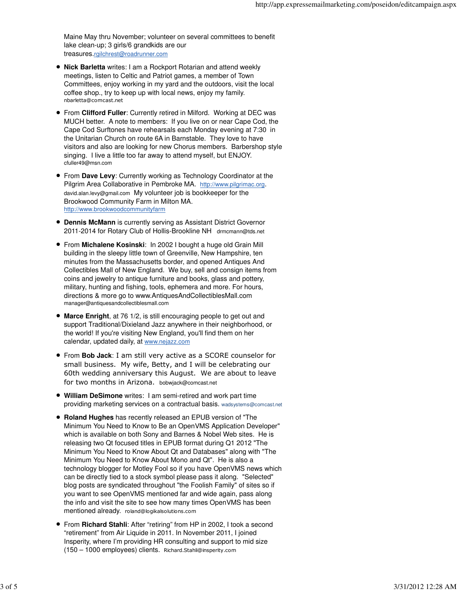Maine May thru November; volunteer on several committees to benefit lake clean-up; 3 girls/6 grandkids are our treasures.rgilchrest@roadrunner.com

- **Nick Barletta** writes: I am a Rockport Rotarian and attend weekly meetings, listen to Celtic and Patriot games, a member of Town Committees, enjoy working in my yard and the outdoors, visit the local coffee shop., try to keep up with local news, enjoy my family. nbarletta@comcast.net
- From **Clifford Fuller**: Currently retired in Milford. Working at DEC was MUCH better. A note to members: If you live on or near Cape Cod, the Cape Cod Surftones have rehearsals each Monday evening at 7:30 in the Unitarian Church on route 6A in Barnstable. They love to have visitors and also are looking for new Chorus members. Barbershop style singing. I live a little too far away to attend myself, but ENJOY. cfuller49@msn.com
- From **Dave Levy**: Currently working as Technology Coordinator at the Pilgrim Area Collaborative in Pembroke MA. http://www.pilgrimac.org. david.alan.levy@gmail.com My volunteer job is bookkeeper for the Brookwood Community Farm in Milton MA. http://www.brookwoodcommunityfarm
- **Dennis McMann** is currently serving as Assistant District Governor 2011-2014 for Rotary Club of Hollis-Brookline NH drmcmann@tds.net
- From **Michalene Kosinski**: In 2002 I bought a huge old Grain Mill building in the sleepy little town of Greenville, New Hampshire, ten minutes from the Massachusetts border, and opened Antiques And Collectibles Mall of New England. We buy, sell and consign items from coins and jewelry to antique furniture and books, glass and pottery, military, hunting and fishing, tools, ephemera and more. For hours, directions & more go to www.AntiquesAndCollectiblesMall.com manager@antiquesandcollectiblesmall.com
- **Marce Enright**, at 76 1/2, is still encouraging people to get out and support Traditional/Dixieland Jazz anywhere in their neighborhood, or the world! If you're visiting New England, you'll find them on her calendar, updated daily, at www.nejazz.com
- From **Bob Jack**: I am still very active as a SCORE counselor for small business. My wife, Betty, and I will be celebrating our 60th wedding anniversary this August. We are about to leave for two months in Arizona. bobwjack@comcast.net
- **William DeSimone** writes: I am semi-retired and work part time providing marketing services on a contractual basis. wadsystems@comcast.net
- **Roland Hughes** has recently released an EPUB version of "The Minimum You Need to Know to Be an OpenVMS Application Developer" which is available on both Sony and Barnes & Nobel Web sites. He is releasing two Qt focused titles in EPUB format during Q1 2012 "The Minimum You Need to Know About Qt and Databases" along with "The Minimum You Need to Know About Mono and Qt". He is also a technology blogger for Motley Fool so if you have OpenVMS news which can be directly tied to a stock symbol please pass it along. "Selected" blog posts are syndicated throughout "the Foolish Family" of sites so if you want to see OpenVMS mentioned far and wide again, pass along the info and visit the site to see how many times OpenVMS has been mentioned already. roland@logikalsolutions.com
- From **Richard Stahli**: After "retiring" from HP in 2002, I took a second "retirement" from Air Liquide in 2011. In November 2011, I joined Insperity, where I'm providing HR consulting and support to mid size (150 – 1000 employees) clients. Richard.Stahli@insperity.com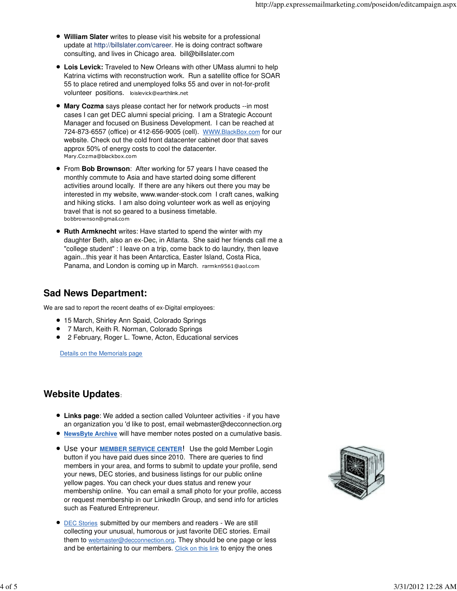- **William Slater** writes to please visit his website for a professional update at http://billslater.com/career. He is doing contract software consulting, and lives in Chicago area. bill@billslater.com
- **Lois Levick:** Traveled to New Orleans with other UMass alumni to help Katrina victims with reconstruction work. Run a satellite office for SOAR 55 to place retired and unemployed folks 55 and over in not-for-profit volunteer positions. loislevick@earthlink.net
- **Mary Cozma** says please contact her for network products --in most cases I can get DEC alumni special pricing. I am a Strategic Account Manager and focused on Business Development. I can be reached at 724-873-6557 (office) or 412-656-9005 (cell). WWW.BlackBox.com for our website. Check out the cold front datacenter cabinet door that saves approx 50% of energy costs to cool the datacenter. Mary.Cozma@blackbox.com
- From **Bob Brownson**: After working for 57 years I have ceased the monthly commute to Asia and have started doing some different activities around locally. If there are any hikers out there you may be interested in my website, www.wander-stock.com I craft canes, walking and hiking sticks. I am also doing volunteer work as well as enjoying travel that is not so geared to a business timetable. bobbrownson@gmail.com
- **Ruth Armknecht** writes: Have started to spend the winter with my daughter Beth, also an ex-Dec, in Atlanta. She said her friends call me a "college student" : I leave on a trip, come back to do laundry, then leave again...this year it has been Antarctica, Easter Island, Costa Rica, Panama, and London is coming up in March. rarmkn9561@aol.com

## **Sad News Department:**

We are sad to report the recent deaths of ex-Digital employees:

- 15 March, Shirley Ann Spaid, Colorado Springs
- 7 March, Keith R. Norman, Colorado Springs
- 2 February, Roger L. Towne, Acton, Educational services

Details on the Memorials page

## **Website Updates**:

- **Links page**: We added a section called Volunteer activities if you have an organization you 'd like to post, email webmaster@decconnection.org
- **NewsByte Archive** will have member notes posted on a cumulative basis.
- Use your **MEMBER SERVICE CENTER**! Use the gold Member Login button if you have paid dues since 2010. There are queries to find members in your area, and forms to submit to update your profile, send your news, DEC stories, and business listings for our public online yellow pages. You can check your dues status and renew your membership online. You can email a small photo for your profile, access or request membership in our LinkedIn Group, and send info for articles such as Featured Entrepreneur.
- **DEC Stories submitted by our members and readers We are still** collecting your unusual, humorous or just favorite DEC stories. Email them to webmaster@decconnection.org. They should be one page or less and be entertaining to our members. Click on this link to enjoy the ones